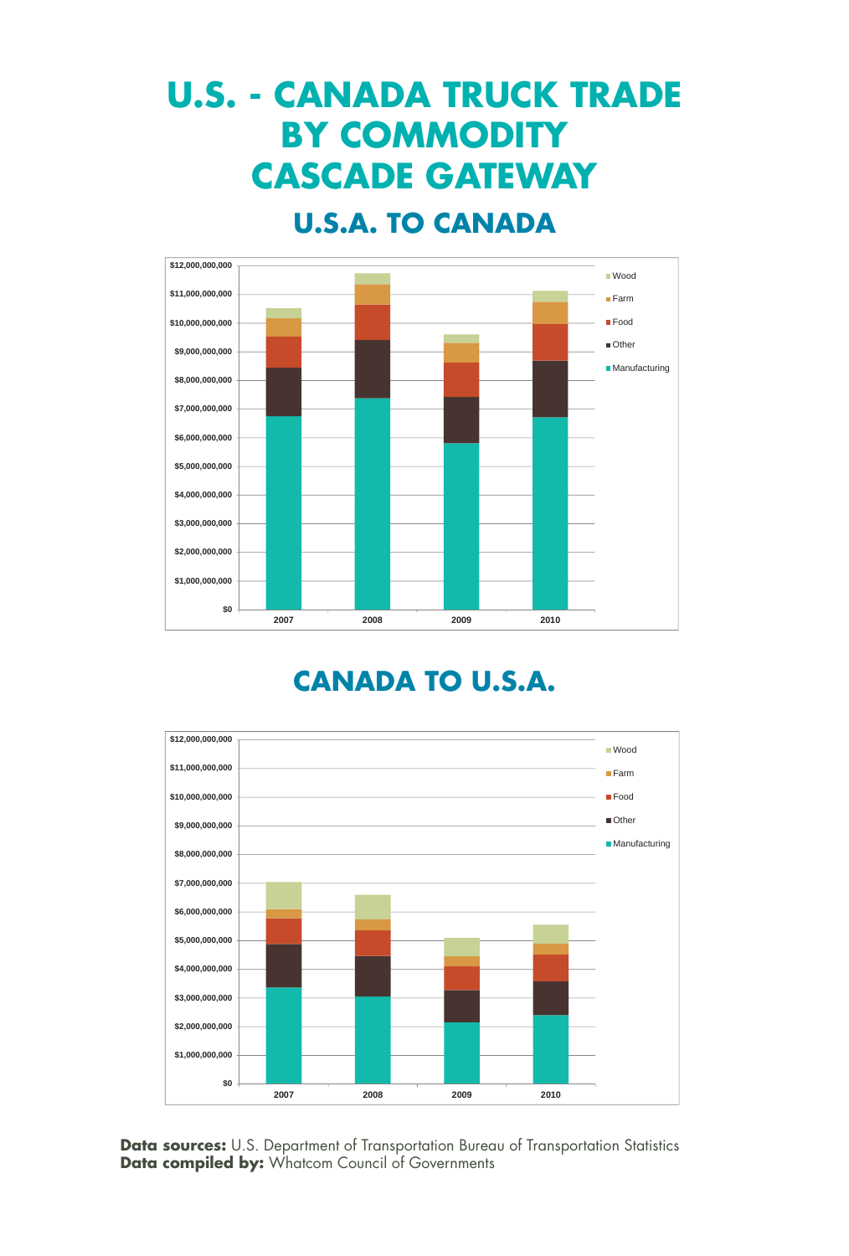## **U.S. - CANADA TRUCK TRADE BY COMMODITY CASCADE GATEWAY**

#### **U.S.A. TO CANADA**



#### **CANADA TO U.S.A.**

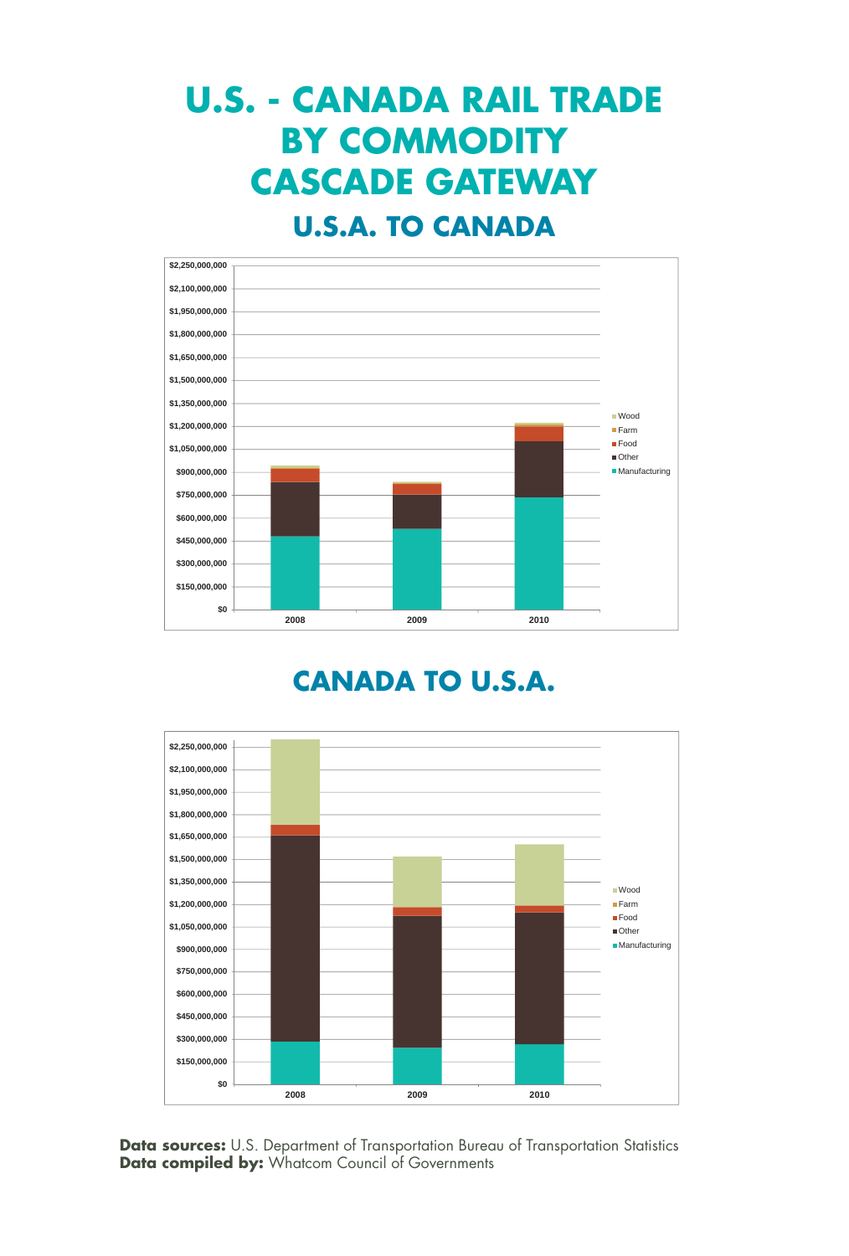# **U.S. - CANADA RAIL TRADE BY COMMODITY CASCADE GATEWAY**

#### **U.S.A. TO CANADA**



#### **CANADA TO U.S.A.**

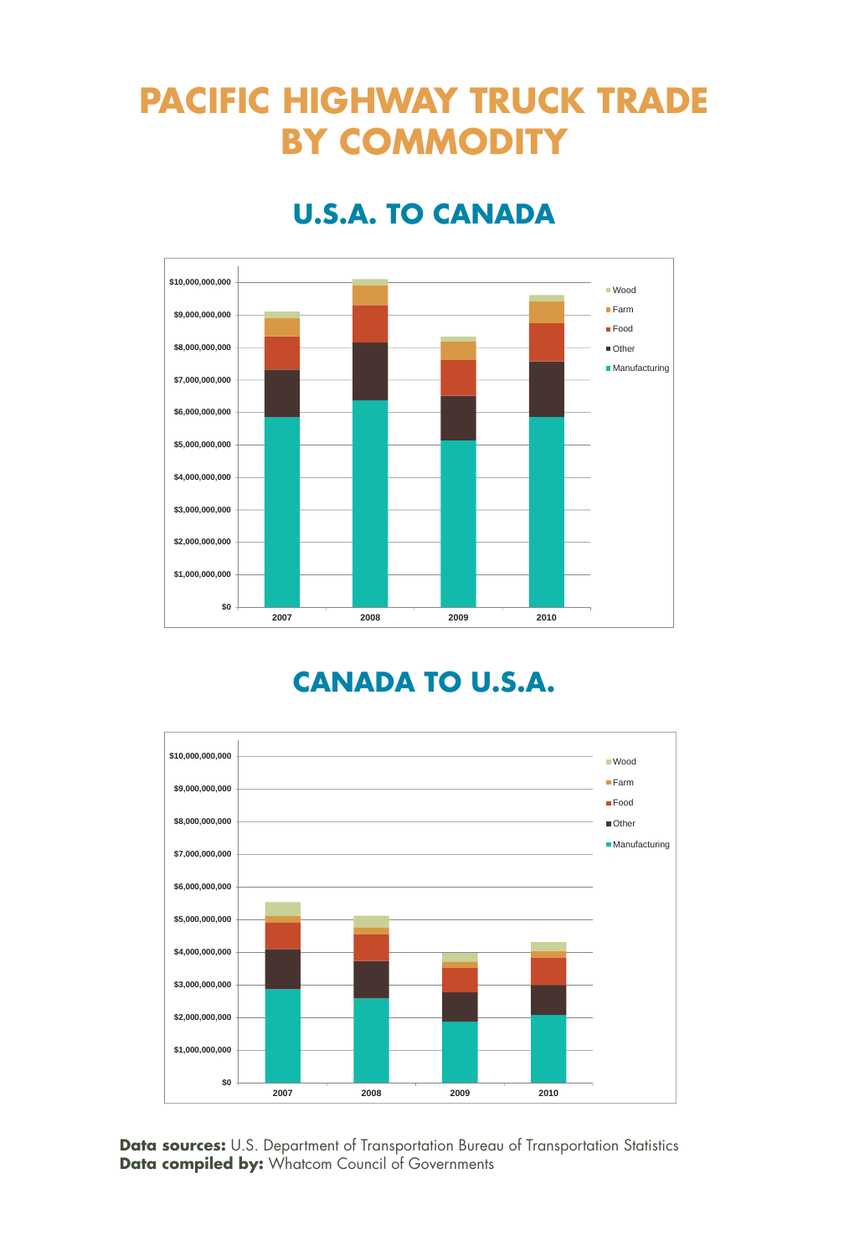## **PACIFIC HIGHWAY TRUCK TRADE BY COMMODITY**

### **U.S.A. TO CANADA**



#### **CANADA TO U.S.A.**

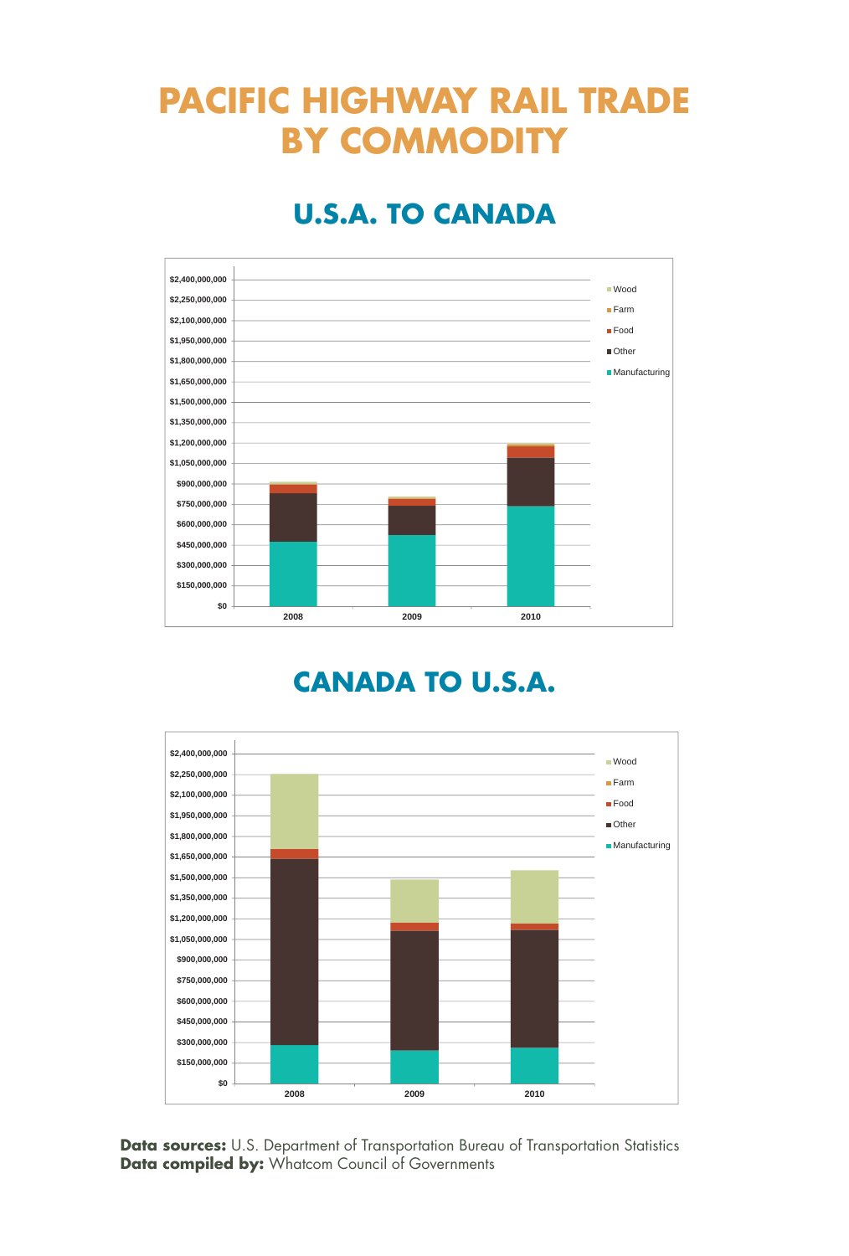## **PACIFIC HIGHWAY RAIL TRADE BY COMMODITY**

### **U.S.A. TO CANADA**



#### **CANADA TO U.S.A.**

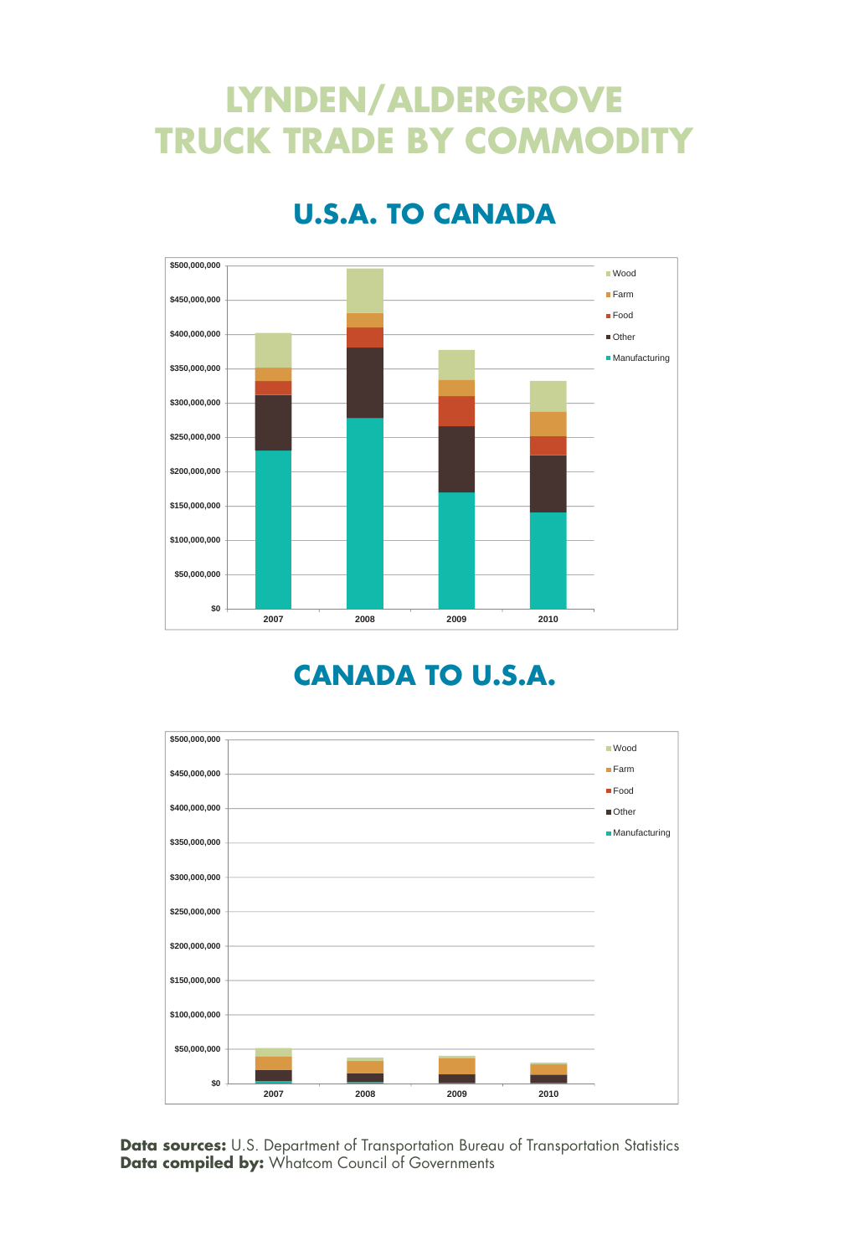## **LYNDEN/ALDERGROVE TRUCK TRADE BY COMMODITY**



### **U.S.A. TO CANADA**

#### **CANADA TO U.S.A.**

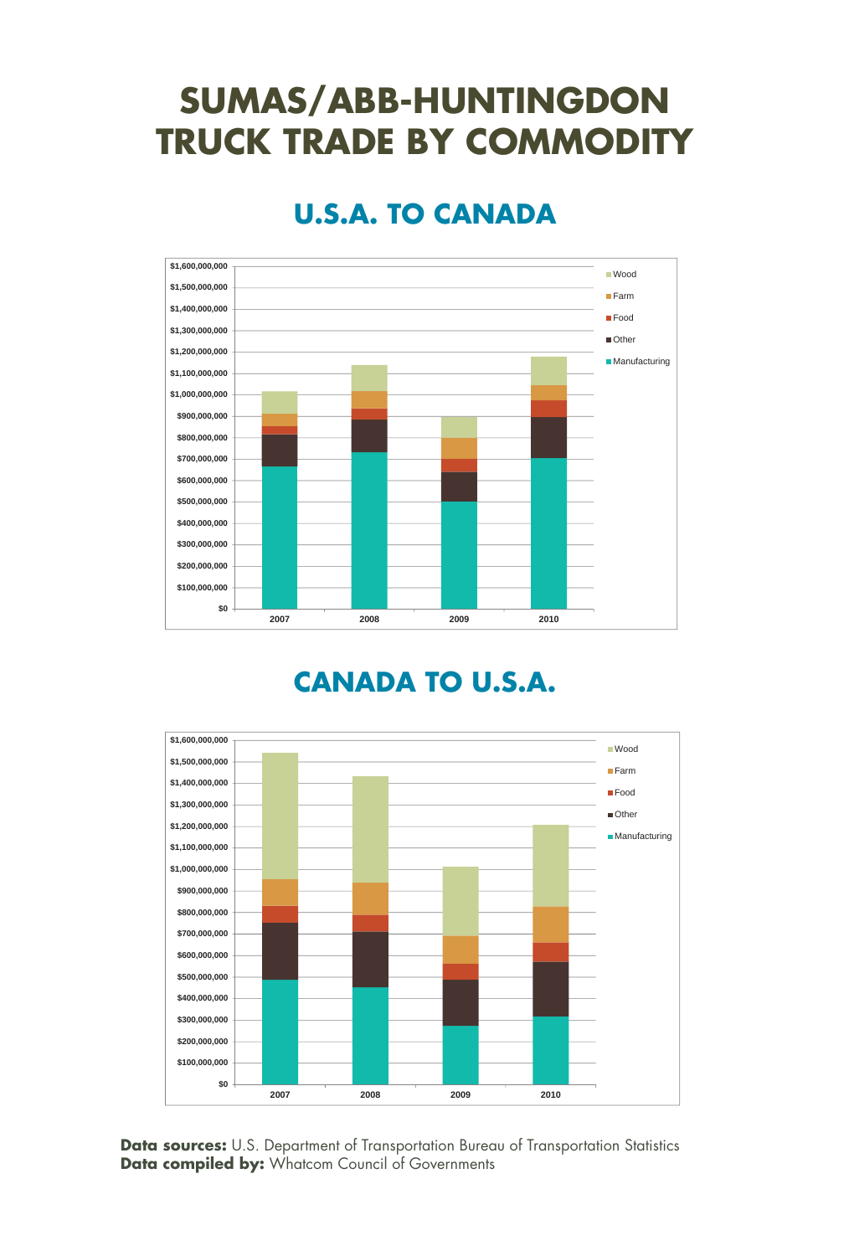## **SUMAS/ABB-HUNTINGDON TRUCK TRADE BY COMMODITY**



### **U.S.A. TO CANADA**

#### **CANADA TO U.S.A.**